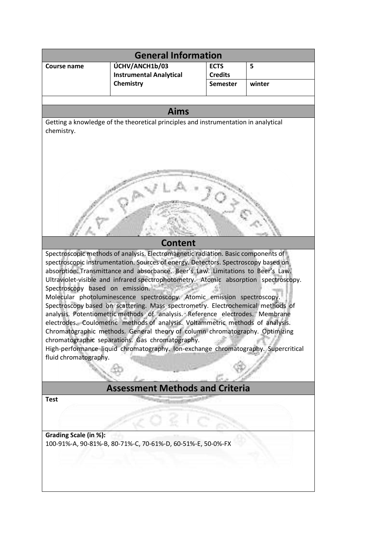| <b>General Information</b>                                                                                                                                     |                                                               |                                                  |             |
|----------------------------------------------------------------------------------------------------------------------------------------------------------------|---------------------------------------------------------------|--------------------------------------------------|-------------|
| <b>Course name</b>                                                                                                                                             | ÚCHV/ANCH1b/03<br><b>Instrumental Analytical</b><br>Chemistry | <b>ECTS</b><br><b>Credits</b><br><b>Semester</b> | 5<br>winter |
|                                                                                                                                                                |                                                               |                                                  |             |
| <b>Aims</b>                                                                                                                                                    |                                                               |                                                  |             |
| Getting a knowledge of the theoretical principles and instrumentation in analytical<br>chemistry.                                                              |                                                               |                                                  |             |
|                                                                                                                                                                |                                                               |                                                  |             |
|                                                                                                                                                                |                                                               |                                                  |             |
|                                                                                                                                                                |                                                               |                                                  |             |
|                                                                                                                                                                |                                                               |                                                  |             |
|                                                                                                                                                                |                                                               |                                                  |             |
|                                                                                                                                                                |                                                               |                                                  |             |
|                                                                                                                                                                |                                                               |                                                  |             |
|                                                                                                                                                                |                                                               |                                                  |             |
|                                                                                                                                                                |                                                               |                                                  |             |
| <b>Content</b><br>Spectroscopic methods of analysis. Electromagnetic radiation. Basic components of                                                            |                                                               |                                                  |             |
| spectroscopic instrumentation. Sources of energy. Detectors. Spectroscopy based on                                                                             |                                                               |                                                  |             |
| absorption. Transmittance and absorbance. Beer's Law. Limitations to Beer's Law.                                                                               |                                                               |                                                  |             |
| Ultraviolet-visible and infrared spectrophotometry. Atomic absorption spectroscopy.<br>Spectroscopy based on emission.                                         |                                                               |                                                  |             |
| Molecular photoluminescence spectroscopy. Atomic emission spectroscopy.                                                                                        |                                                               |                                                  |             |
| Spectroscopy based on scattering. Mass spectrometry. Electrochemical methods of                                                                                |                                                               |                                                  |             |
| analysis. Potentiometric methods of analysis. Reference electrodes. Membrane<br>electrodes. Coulometric methods of analysis. Voltammetric methods of analysis. |                                                               |                                                  |             |
| Chromatographic methods. General theory of column chromatography. Optimizing                                                                                   |                                                               |                                                  |             |
| chromatographic separations. Gas chromatography.                                                                                                               |                                                               |                                                  |             |
| High-performance liquid chromatography. Ion-exchange chromatography. Supercritical<br>fluid chromatography.                                                    |                                                               |                                                  |             |
|                                                                                                                                                                |                                                               |                                                  |             |
|                                                                                                                                                                |                                                               |                                                  |             |
| <b>Assessment Methods and Criteria</b>                                                                                                                         |                                                               |                                                  |             |
| <b>Test</b>                                                                                                                                                    |                                                               |                                                  |             |
|                                                                                                                                                                |                                                               |                                                  |             |
|                                                                                                                                                                |                                                               |                                                  |             |
| Grading Scale (in %):<br>100-91%-A, 90-81%-B, 80-71%-C, 70-61%-D, 60-51%-E, 50-0%-FX                                                                           |                                                               |                                                  |             |
|                                                                                                                                                                |                                                               |                                                  |             |
|                                                                                                                                                                |                                                               |                                                  |             |
|                                                                                                                                                                |                                                               |                                                  |             |
|                                                                                                                                                                |                                                               |                                                  |             |